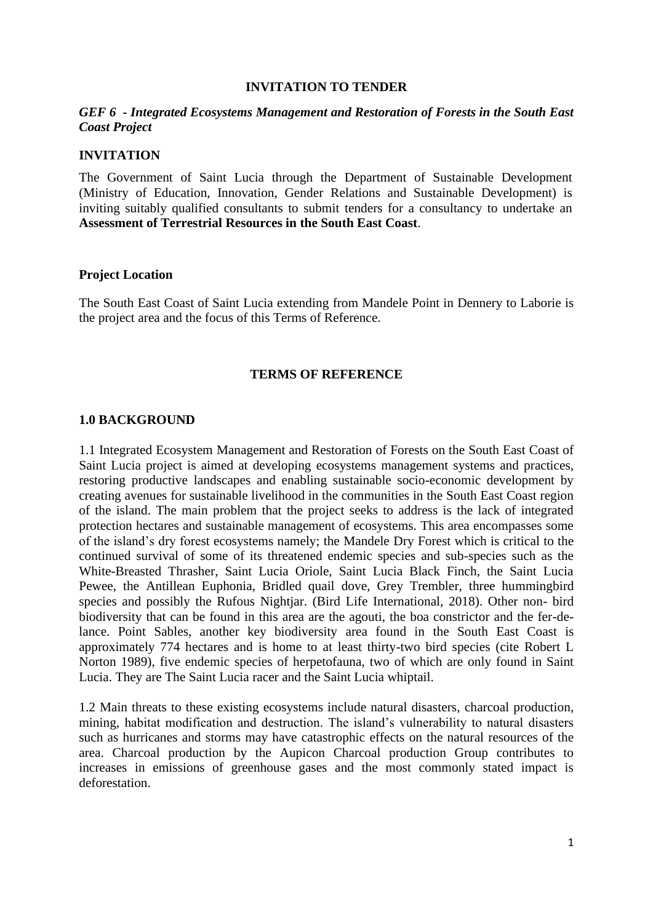#### **INVITATION TO TENDER**

#### *GEF 6 - Integrated Ecosystems Management and Restoration of Forests in the South East Coast Project*

#### **INVITATION**

The Government of Saint Lucia through the Department of Sustainable Development (Ministry of Education, Innovation, Gender Relations and Sustainable Development) is inviting suitably qualified consultants to submit tenders for a consultancy to undertake an **Assessment of Terrestrial Resources in the South East Coast**.

#### **Project Location**

The South East Coast of Saint Lucia extending from Mandele Point in Dennery to Laborie is the project area and the focus of this Terms of Reference.

#### **TERMS OF REFERENCE**

#### **1.0 BACKGROUND**

1.1 Integrated Ecosystem Management and Restoration of Forests on the South East Coast of Saint Lucia project is aimed at developing ecosystems management systems and practices, restoring productive landscapes and enabling sustainable socio-economic development by creating avenues for sustainable livelihood in the communities in the South East Coast region of the island. The main problem that the project seeks to address is the lack of integrated protection hectares and sustainable management of ecosystems. This area encompasses some of the island's dry forest ecosystems namely; the Mandele Dry Forest which is critical to the continued survival of some of its threatened endemic species and sub-species such as the White-Breasted Thrasher, Saint Lucia Oriole, Saint Lucia Black Finch, the Saint Lucia Pewee, the Antillean Euphonia, Bridled quail dove, Grey Trembler, three hummingbird species and possibly the Rufous Nightjar. (Bird Life International, 2018). Other non- bird biodiversity that can be found in this area are the agouti, the boa constrictor and the fer-delance. Point Sables, another key biodiversity area found in the South East Coast is approximately 774 hectares and is home to at least thirty-two bird species (cite Robert L Norton 1989), five endemic species of herpetofauna, two of which are only found in Saint Lucia. They are The Saint Lucia racer and the Saint Lucia whiptail.

1.2 Main threats to these existing ecosystems include natural disasters, charcoal production, mining, habitat modification and destruction. The island's vulnerability to natural disasters such as hurricanes and storms may have catastrophic effects on the natural resources of the area. Charcoal production by the Aupicon Charcoal production Group contributes to increases in emissions of greenhouse gases and the most commonly stated impact is deforestation.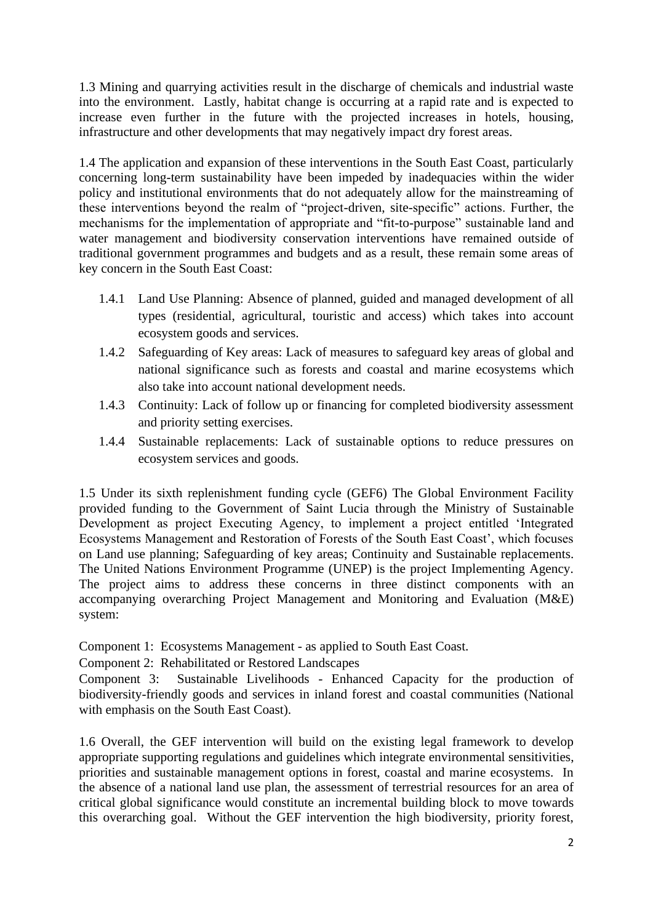1.3 Mining and quarrying activities result in the discharge of chemicals and industrial waste into the environment. Lastly, habitat change is occurring at a rapid rate and is expected to increase even further in the future with the projected increases in hotels, housing, infrastructure and other developments that may negatively impact dry forest areas.

1.4 The application and expansion of these interventions in the South East Coast, particularly concerning long-term sustainability have been impeded by inadequacies within the wider policy and institutional environments that do not adequately allow for the mainstreaming of these interventions beyond the realm of "project-driven, site-specific" actions. Further, the mechanisms for the implementation of appropriate and "fit-to-purpose" sustainable land and water management and biodiversity conservation interventions have remained outside of traditional government programmes and budgets and as a result, these remain some areas of key concern in the South East Coast:

- 1.4.1 Land Use Planning: Absence of planned, guided and managed development of all types (residential, agricultural, touristic and access) which takes into account ecosystem goods and services.
- 1.4.2 Safeguarding of Key areas: Lack of measures to safeguard key areas of global and national significance such as forests and coastal and marine ecosystems which also take into account national development needs.
- 1.4.3 Continuity: Lack of follow up or financing for completed biodiversity assessment and priority setting exercises.
- 1.4.4 Sustainable replacements: Lack of sustainable options to reduce pressures on ecosystem services and goods.

1.5 Under its sixth replenishment funding cycle (GEF6) The Global Environment Facility provided funding to the Government of Saint Lucia through the Ministry of Sustainable Development as project Executing Agency, to implement a project entitled 'Integrated Ecosystems Management and Restoration of Forests of the South East Coast', which focuses on Land use planning; Safeguarding of key areas; Continuity and Sustainable replacements. The United Nations Environment Programme (UNEP) is the project Implementing Agency. The project aims to address these concerns in three distinct components with an accompanying overarching Project Management and Monitoring and Evaluation (M&E) system:

Component 1: Ecosystems Management - as applied to South East Coast.

Component 2: Rehabilitated or Restored Landscapes

Component 3: Sustainable Livelihoods - Enhanced Capacity for the production of biodiversity-friendly goods and services in inland forest and coastal communities (National with emphasis on the South East Coast).

1.6 Overall, the GEF intervention will build on the existing legal framework to develop appropriate supporting regulations and guidelines which integrate environmental sensitivities, priorities and sustainable management options in forest, coastal and marine ecosystems. In the absence of a national land use plan, the assessment of terrestrial resources for an area of critical global significance would constitute an incremental building block to move towards this overarching goal. Without the GEF intervention the high biodiversity, priority forest,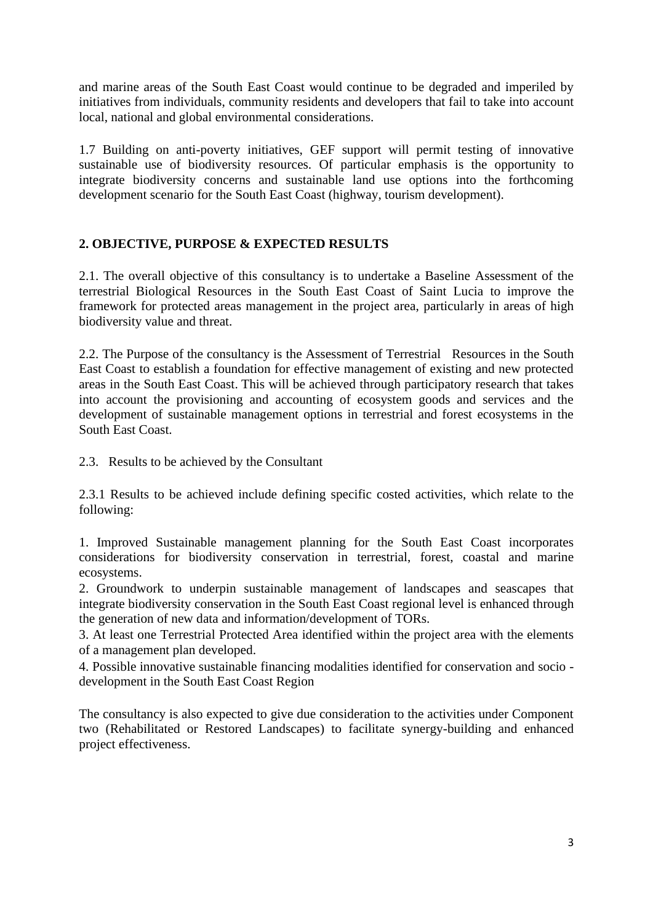and marine areas of the South East Coast would continue to be degraded and imperiled by initiatives from individuals, community residents and developers that fail to take into account local, national and global environmental considerations.

1.7 Building on anti-poverty initiatives, GEF support will permit testing of innovative sustainable use of biodiversity resources. Of particular emphasis is the opportunity to integrate biodiversity concerns and sustainable land use options into the forthcoming development scenario for the South East Coast (highway, tourism development).

# **2. OBJECTIVE, PURPOSE & EXPECTED RESULTS**

2.1. The overall objective of this consultancy is to undertake a Baseline Assessment of the terrestrial Biological Resources in the South East Coast of Saint Lucia to improve the framework for protected areas management in the project area, particularly in areas of high biodiversity value and threat.

2.2. The Purpose of the consultancy is the Assessment of Terrestrial Resources in the South East Coast to establish a foundation for effective management of existing and new protected areas in the South East Coast. This will be achieved through participatory research that takes into account the provisioning and accounting of ecosystem goods and services and the development of sustainable management options in terrestrial and forest ecosystems in the South East Coast.

2.3. Results to be achieved by the Consultant

2.3.1 Results to be achieved include defining specific costed activities, which relate to the following:

1. Improved Sustainable management planning for the South East Coast incorporates considerations for biodiversity conservation in terrestrial, forest, coastal and marine ecosystems.

2. Groundwork to underpin sustainable management of landscapes and seascapes that integrate biodiversity conservation in the South East Coast regional level is enhanced through the generation of new data and information/development of TORs.

3. At least one Terrestrial Protected Area identified within the project area with the elements of a management plan developed.

4. Possible innovative sustainable financing modalities identified for conservation and socio development in the South East Coast Region

The consultancy is also expected to give due consideration to the activities under Component two (Rehabilitated or Restored Landscapes) to facilitate synergy-building and enhanced project effectiveness.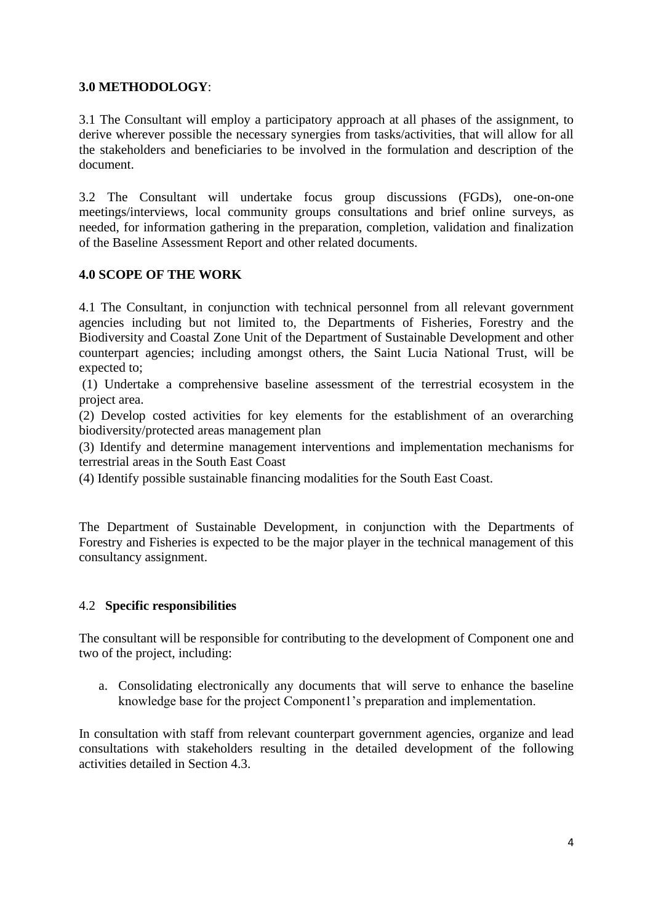## **3.0 METHODOLOGY**:

3.1 The Consultant will employ a participatory approach at all phases of the assignment, to derive wherever possible the necessary synergies from tasks/activities, that will allow for all the stakeholders and beneficiaries to be involved in the formulation and description of the document.

3.2 The Consultant will undertake focus group discussions (FGDs), one-on-one meetings/interviews, local community groups consultations and brief online surveys, as needed, for information gathering in the preparation, completion, validation and finalization of the Baseline Assessment Report and other related documents.

## **4.0 SCOPE OF THE WORK**

4.1 The Consultant, in conjunction with technical personnel from all relevant government agencies including but not limited to, the Departments of Fisheries, Forestry and the Biodiversity and Coastal Zone Unit of the Department of Sustainable Development and other counterpart agencies; including amongst others, the Saint Lucia National Trust, will be expected to;

(1) Undertake a comprehensive baseline assessment of the terrestrial ecosystem in the project area.

(2) Develop costed activities for key elements for the establishment of an overarching biodiversity/protected areas management plan

(3) Identify and determine management interventions and implementation mechanisms for terrestrial areas in the South East Coast

(4) Identify possible sustainable financing modalities for the South East Coast.

The Department of Sustainable Development, in conjunction with the Departments of Forestry and Fisheries is expected to be the major player in the technical management of this consultancy assignment.

## 4.2 **Specific responsibilities**

The consultant will be responsible for contributing to the development of Component one and two of the project, including:

a. Consolidating electronically any documents that will serve to enhance the baseline knowledge base for the project Component1's preparation and implementation.

In consultation with staff from relevant counterpart government agencies, organize and lead consultations with stakeholders resulting in the detailed development of the following activities detailed in Section 4.3.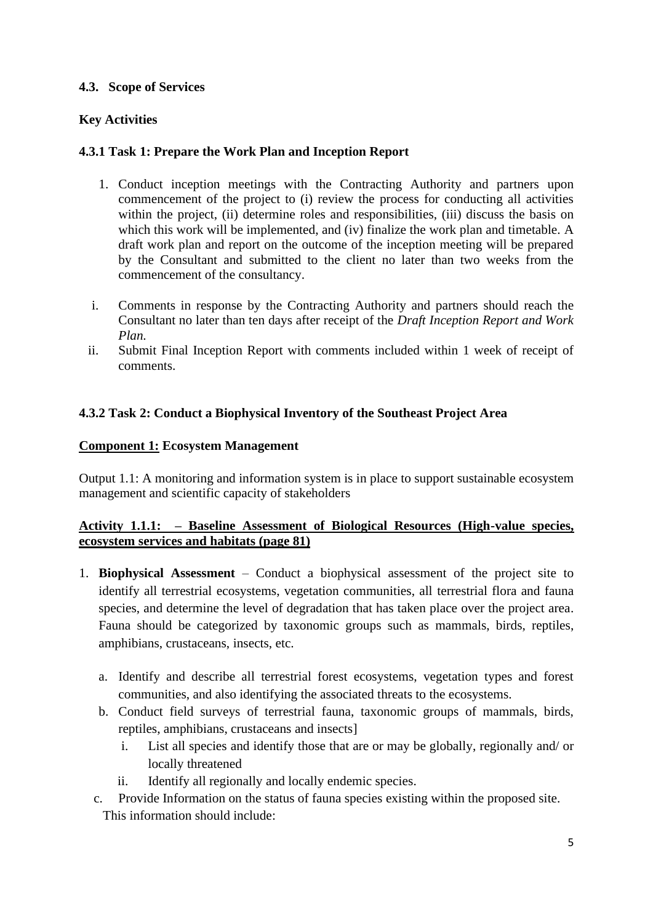## **4.3. Scope of Services**

# **Key Activities**

# **4.3.1 Task 1: Prepare the Work Plan and Inception Report**

- 1. Conduct inception meetings with the Contracting Authority and partners upon commencement of the project to (i) review the process for conducting all activities within the project, (ii) determine roles and responsibilities, (iii) discuss the basis on which this work will be implemented, and (iv) finalize the work plan and timetable. A draft work plan and report on the outcome of the inception meeting will be prepared by the Consultant and submitted to the client no later than two weeks from the commencement of the consultancy.
- i. Comments in response by the Contracting Authority and partners should reach the Consultant no later than ten days after receipt of the *Draft Inception Report and Work Plan.*
- ii. Submit Final Inception Report with comments included within 1 week of receipt of comments.

## **4.3.2 Task 2: Conduct a Biophysical Inventory of the Southeast Project Area**

## **Component 1: Ecosystem Management**

Output 1.1: A monitoring and information system is in place to support sustainable ecosystem management and scientific capacity of stakeholders

## **Activity 1.1.1: – Baseline Assessment of Biological Resources (High-value species, ecosystem services and habitats (page 81)**

- 1. **Biophysical Assessment** Conduct a biophysical assessment of the project site to identify all terrestrial ecosystems, vegetation communities, all terrestrial flora and fauna species, and determine the level of degradation that has taken place over the project area. Fauna should be categorized by taxonomic groups such as mammals, birds, reptiles, amphibians, crustaceans, insects, etc.
	- a. Identify and describe all terrestrial forest ecosystems, vegetation types and forest communities, and also identifying the associated threats to the ecosystems.
	- b. Conduct field surveys of terrestrial fauna, taxonomic groups of mammals, birds, reptiles, amphibians, crustaceans and insects]
		- i. List all species and identify those that are or may be globally, regionally and/ or locally threatened
		- ii. Identify all regionally and locally endemic species.
	- c. Provide Information on the status of fauna species existing within the proposed site. This information should include: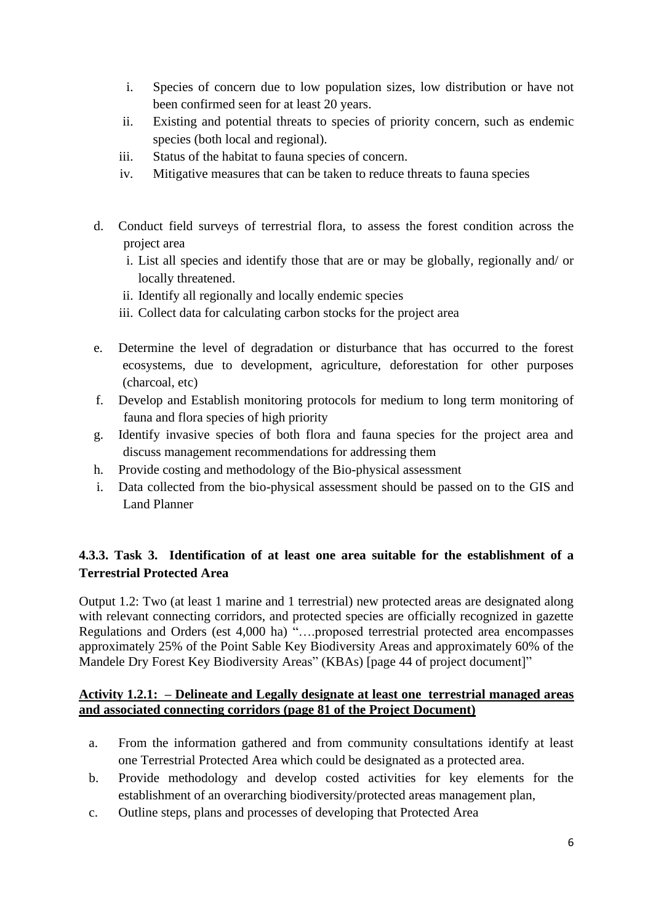- i. Species of concern due to low population sizes, low distribution or have not been confirmed seen for at least 20 years.
- ii. Existing and potential threats to species of priority concern, such as endemic species (both local and regional).
- iii. Status of the habitat to fauna species of concern.
- iv. Mitigative measures that can be taken to reduce threats to fauna species
- d. Conduct field surveys of terrestrial flora, to assess the forest condition across the project area
	- i. List all species and identify those that are or may be globally, regionally and/ or locally threatened.
	- ii. Identify all regionally and locally endemic species
	- iii. Collect data for calculating carbon stocks for the project area
- e. Determine the level of degradation or disturbance that has occurred to the forest ecosystems, due to development, agriculture, deforestation for other purposes (charcoal, etc)
- f. Develop and Establish monitoring protocols for medium to long term monitoring of fauna and flora species of high priority
- g. Identify invasive species of both flora and fauna species for the project area and discuss management recommendations for addressing them
- h. Provide costing and methodology of the Bio-physical assessment
- i. Data collected from the bio-physical assessment should be passed on to the GIS and Land Planner

# **4.3.3. Task 3. Identification of at least one area suitable for the establishment of a Terrestrial Protected Area**

Output 1.2: Two (at least 1 marine and 1 terrestrial) new protected areas are designated along with relevant connecting corridors, and protected species are officially recognized in gazette Regulations and Orders (est 4,000 ha) "….proposed terrestrial protected area encompasses approximately 25% of the Point Sable Key Biodiversity Areas and approximately 60% of the Mandele Dry Forest Key Biodiversity Areas" (KBAs) [page 44 of project document]"

## **Activity 1.2.1: – Delineate and Legally designate at least one terrestrial managed areas and associated connecting corridors (page 81 of the Project Document)**

- a. From the information gathered and from community consultations identify at least one Terrestrial Protected Area which could be designated as a protected area.
- b. Provide methodology and develop costed activities for key elements for the establishment of an overarching biodiversity/protected areas management plan,
- c. Outline steps, plans and processes of developing that Protected Area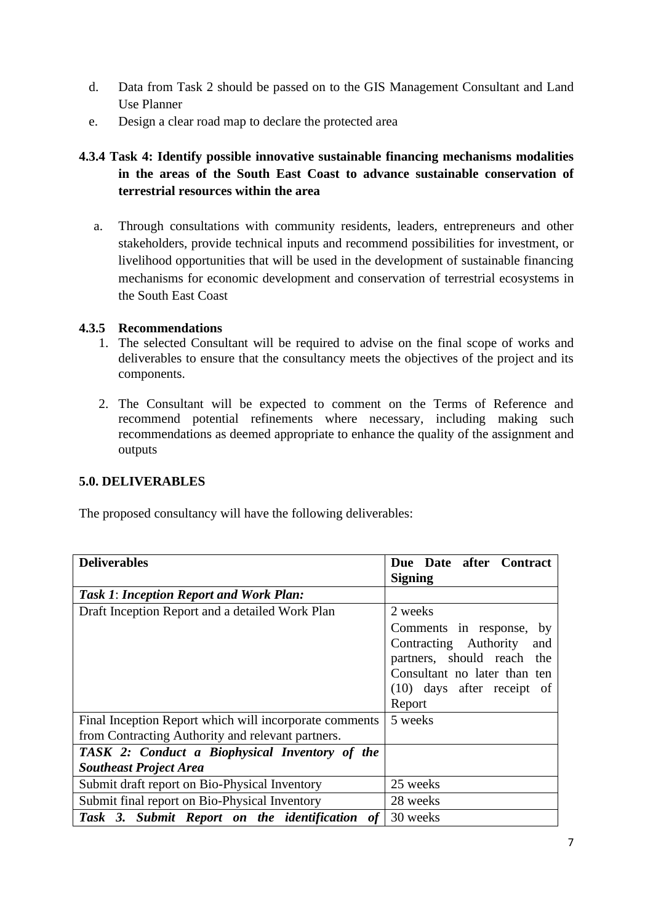- d. Data from Task 2 should be passed on to the GIS Management Consultant and Land Use Planner
- e. Design a clear road map to declare the protected area

# **4.3.4 Task 4: Identify possible innovative sustainable financing mechanisms modalities in the areas of the South East Coast to advance sustainable conservation of terrestrial resources within the area**

a. Through consultations with community residents, leaders, entrepreneurs and other stakeholders, provide technical inputs and recommend possibilities for investment, or livelihood opportunities that will be used in the development of sustainable financing mechanisms for economic development and conservation of terrestrial ecosystems in the South East Coast

#### **4.3.5 Recommendations**

- 1. The selected Consultant will be required to advise on the final scope of works and deliverables to ensure that the consultancy meets the objectives of the project and its components.
- 2. The Consultant will be expected to comment on the Terms of Reference and recommend potential refinements where necessary, including making such recommendations as deemed appropriate to enhance the quality of the assignment and outputs

### **5.0. DELIVERABLES**

The proposed consultancy will have the following deliverables:

| <b>Deliverables</b>                                            | Due Date after Contract      |
|----------------------------------------------------------------|------------------------------|
|                                                                | <b>Signing</b>               |
| <b>Task 1: Inception Report and Work Plan:</b>                 |                              |
| Draft Inception Report and a detailed Work Plan                | 2 weeks                      |
|                                                                | Comments in response, by     |
|                                                                | Contracting Authority<br>and |
|                                                                | partners, should reach the   |
|                                                                | Consultant no later than ten |
|                                                                | $(10)$ days after receipt of |
|                                                                | Report                       |
| Final Inception Report which will incorporate comments         | 5 weeks                      |
| from Contracting Authority and relevant partners.              |                              |
| TASK 2: Conduct a Biophysical Inventory of the                 |                              |
| <b>Southeast Project Area</b>                                  |                              |
| Submit draft report on Bio-Physical Inventory                  | 25 weeks                     |
| Submit final report on Bio-Physical Inventory                  | 28 weeks                     |
| Task 3. Submit Report on the identification<br>of <sub>1</sub> | 30 weeks                     |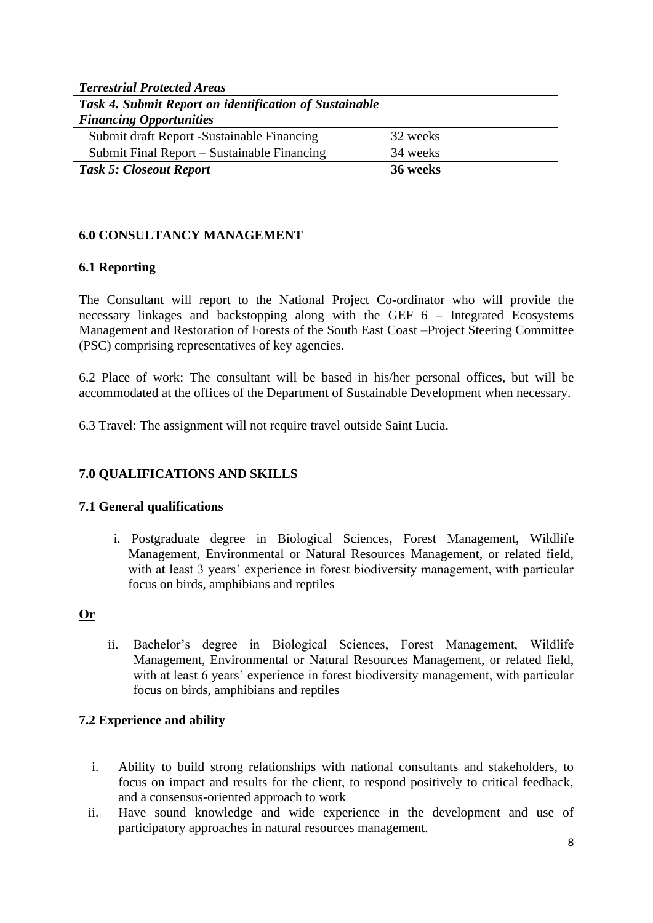| <b>Terrestrial Protected Areas</b>                     |          |
|--------------------------------------------------------|----------|
| Task 4. Submit Report on identification of Sustainable |          |
| <b>Financing Opportunities</b>                         |          |
| Submit draft Report -Sustainable Financing             | 32 weeks |
| Submit Final Report – Sustainable Financing            | 34 weeks |
| <b>Task 5: Closeout Report</b>                         | 36 weeks |

## **6.0 CONSULTANCY MANAGEMENT**

## **6.1 Reporting**

The Consultant will report to the National Project Co-ordinator who will provide the necessary linkages and backstopping along with the GEF 6 – Integrated Ecosystems Management and Restoration of Forests of the South East Coast –Project Steering Committee (PSC) comprising representatives of key agencies.

6.2 Place of work: The consultant will be based in his/her personal offices, but will be accommodated at the offices of the Department of Sustainable Development when necessary.

6.3 Travel: The assignment will not require travel outside Saint Lucia.

# **7.0 QUALIFICATIONS AND SKILLS**

## **7.1 General qualifications**

i. Postgraduate degree in Biological Sciences, Forest Management, Wildlife Management, Environmental or Natural Resources Management, or related field, with at least 3 years' experience in forest biodiversity management, with particular focus on birds, amphibians and reptiles

# **Or**

ii. Bachelor's degree in Biological Sciences, Forest Management, Wildlife Management, Environmental or Natural Resources Management, or related field, with at least 6 years' experience in forest biodiversity management, with particular focus on birds, amphibians and reptiles

## **7.2 Experience and ability**

- i. Ability to build strong relationships with national consultants and stakeholders, to focus on impact and results for the client, to respond positively to critical feedback, and a consensus-oriented approach to work
- ii. Have sound knowledge and wide experience in the development and use of participatory approaches in natural resources management.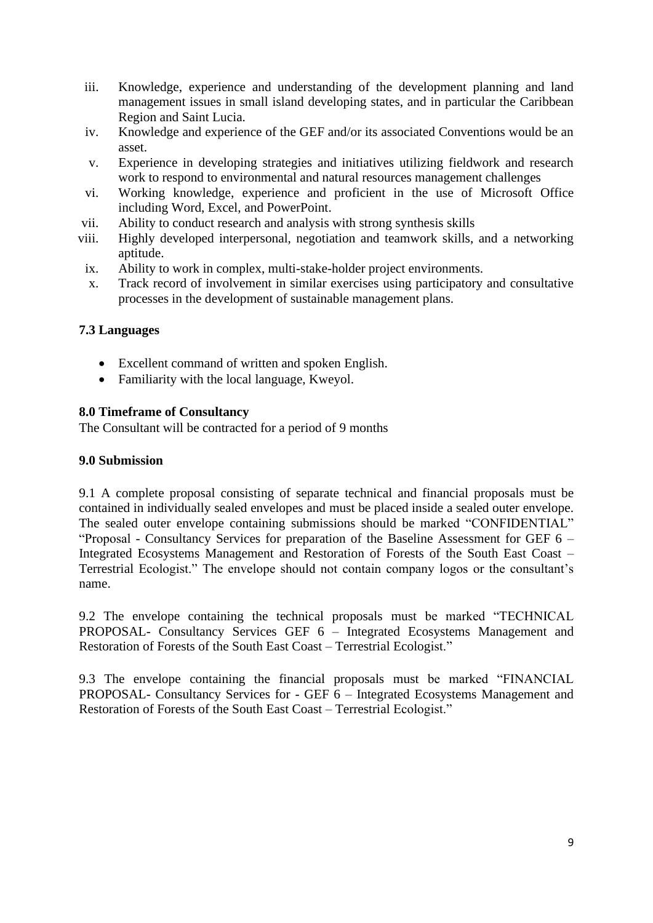- iii. Knowledge, experience and understanding of the development planning and land management issues in small island developing states, and in particular the Caribbean Region and Saint Lucia.
- iv. Knowledge and experience of the GEF and/or its associated Conventions would be an asset.
- v. Experience in developing strategies and initiatives utilizing fieldwork and research work to respond to environmental and natural resources management challenges
- vi. Working knowledge, experience and proficient in the use of Microsoft Office including Word, Excel, and PowerPoint.
- vii. Ability to conduct research and analysis with strong synthesis skills
- viii. Highly developed interpersonal, negotiation and teamwork skills, and a networking aptitude.
- ix. Ability to work in complex, multi-stake-holder project environments.
- x. Track record of involvement in similar exercises using participatory and consultative processes in the development of sustainable management plans.

#### **7.3 Languages**

- Excellent command of written and spoken English.
- Familiarity with the local language, Kweyol.

#### **8.0 Timeframe of Consultancy**

The Consultant will be contracted for a period of 9 months

#### **9.0 Submission**

9.1 A complete proposal consisting of separate technical and financial proposals must be contained in individually sealed envelopes and must be placed inside a sealed outer envelope. The sealed outer envelope containing submissions should be marked "CONFIDENTIAL" "Proposal - Consultancy Services for preparation of the Baseline Assessment for GEF 6 – Integrated Ecosystems Management and Restoration of Forests of the South East Coast – Terrestrial Ecologist." The envelope should not contain company logos or the consultant's name.

9.2 The envelope containing the technical proposals must be marked "TECHNICAL PROPOSAL- Consultancy Services GEF 6 – Integrated Ecosystems Management and Restoration of Forests of the South East Coast – Terrestrial Ecologist."

9.3 The envelope containing the financial proposals must be marked "FINANCIAL PROPOSAL- Consultancy Services for - GEF 6 – Integrated Ecosystems Management and Restoration of Forests of the South East Coast – Terrestrial Ecologist."